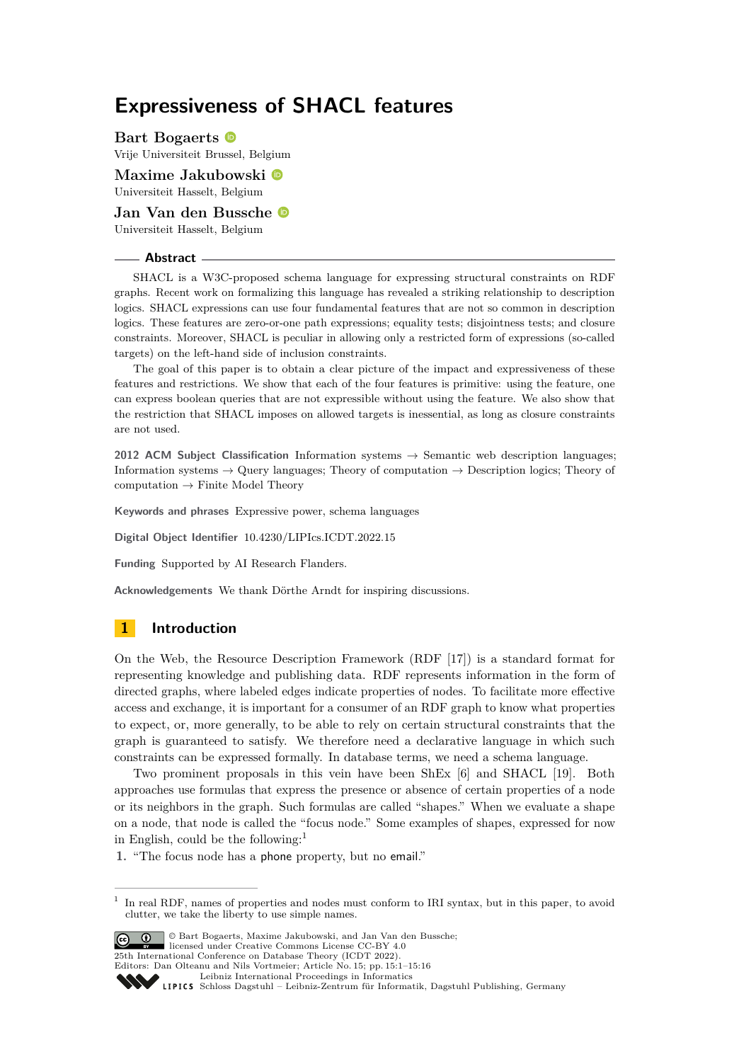# **Expressiveness of SHACL features**

**Bart Bogaerts** Vrije Universiteit Brussel, Belgium

**Maxime Jakubowski** Universiteit Hasselt, Belgium

**Jan Van den Bussche** Universiteit Hasselt, Belgium

#### **Abstract**

SHACL is a W3C-proposed schema language for expressing structural constraints on RDF graphs. Recent work on formalizing this language has revealed a striking relationship to description logics. SHACL expressions can use four fundamental features that are not so common in description logics. These features are zero-or-one path expressions; equality tests; disjointness tests; and closure constraints. Moreover, SHACL is peculiar in allowing only a restricted form of expressions (so-called targets) on the left-hand side of inclusion constraints.

The goal of this paper is to obtain a clear picture of the impact and expressiveness of these features and restrictions. We show that each of the four features is primitive: using the feature, one can express boolean queries that are not expressible without using the feature. We also show that the restriction that SHACL imposes on allowed targets is inessential, as long as closure constraints are not used.

**2012 ACM Subject Classification** Information systems → Semantic web description languages; Information systems  $\rightarrow$  Query languages; Theory of computation  $\rightarrow$  Description logics; Theory of  $computation \rightarrow Finite Model Theory$ 

**Keywords and phrases** Expressive power, schema languages

**Digital Object Identifier** [10.4230/LIPIcs.ICDT.2022.15](https://doi.org/10.4230/LIPIcs.ICDT.2022.15)

**Funding** Supported by AI Research Flanders.

**Acknowledgements** We thank Dörthe Arndt for inspiring discussions.

# **1 Introduction**

On the Web, the Resource Description Framework (RDF [\[17\]](#page-15-0)) is a standard format for representing knowledge and publishing data. RDF represents information in the form of directed graphs, where labeled edges indicate properties of nodes. To facilitate more effective access and exchange, it is important for a consumer of an RDF graph to know what properties to expect, or, more generally, to be able to rely on certain structural constraints that the graph is guaranteed to satisfy. We therefore need a declarative language in which such constraints can be expressed formally. In database terms, we need a schema language.

Two prominent proposals in this vein have been ShEx [\[6\]](#page-15-1) and SHACL [\[19\]](#page-15-2). Both approaches use formulas that express the presence or absence of certain properties of a node or its neighbors in the graph. Such formulas are called "shapes." When we evaluate a shape on a node, that node is called the "focus node." Some examples of shapes, expressed for now in English, could be the following:<sup>[1](#page-0-0)</sup>

**1.** "The focus node has a phone property, but no email."

<span id="page-0-0"></span><sup>1</sup> In real RDF, names of properties and nodes must conform to IRI syntax, but in this paper, to avoid clutter, we take the liberty to use simple names.



© Bart Bogaerts, Maxime Jakubowski, and Jan Van den Bussche; licensed under Creative Commons License CC-BY 4.0

25th International Conference on Database Theory (ICDT 2022).

Editors: Dan Olteanu and Nils Vortmeier; Article No. 15; pp. 15:1–15:16

[Schloss Dagstuhl – Leibniz-Zentrum für Informatik, Dagstuhl Publishing, Germany](https://www.dagstuhl.de)

[Leibniz International Proceedings in Informatics](https://www.dagstuhl.de/lipics/)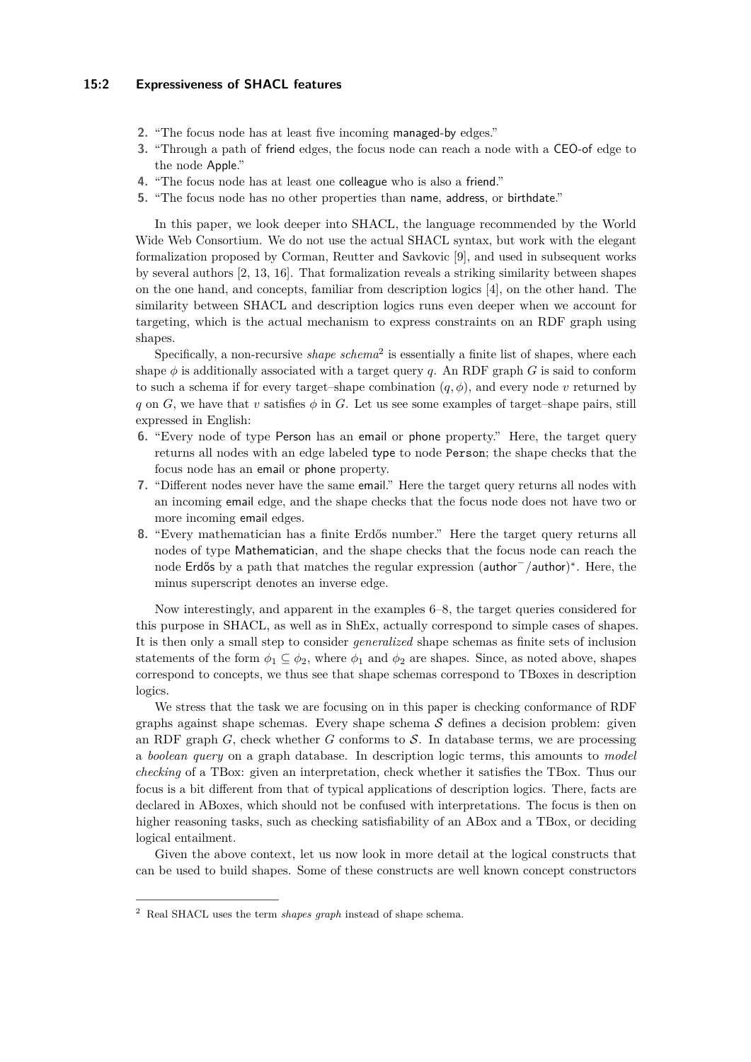## **15:2 Expressiveness of SHACL features**

- **2.** "The focus node has at least five incoming managed-by edges."
- **3.** "Through a path of friend edges, the focus node can reach a node with a CEO-of edge to the node Apple."
- **4.** "The focus node has at least one colleague who is also a friend."
- **5.** "The focus node has no other properties than name, address, or birthdate."

In this paper, we look deeper into SHACL, the language recommended by the World Wide Web Consortium. We do not use the actual SHACL syntax, but work with the elegant formalization proposed by Corman, Reutter and Savkovic [\[9\]](#page-15-3), and used in subsequent works by several authors [\[2,](#page-14-0) [13,](#page-15-4) [16\]](#page-15-5). That formalization reveals a striking similarity between shapes on the one hand, and concepts, familiar from description logics [\[4\]](#page-15-6), on the other hand. The similarity between SHACL and description logics runs even deeper when we account for targeting, which is the actual mechanism to express constraints on an RDF graph using shapes.

Specifically, a non-recursive *shape schema*<sup>[2](#page-1-0)</sup> is essentially a finite list of shapes, where each shape  $\phi$  is additionally associated with a target query *q*. An RDF graph *G* is said to conform to such a schema if for every target–shape combination  $(q, \phi)$ , and every node *v* returned by *q* on *G*, we have that *v* satisfies  $\phi$  in *G*. Let us see some examples of target–shape pairs, still expressed in English:

- **6.** "Every node of type Person has an email or phone property." Here, the target query returns all nodes with an edge labeled type to node Person; the shape checks that the focus node has an email or phone property.
- **7.** "Different nodes never have the same email." Here the target query returns all nodes with an incoming email edge, and the shape checks that the focus node does not have two or more incoming email edges.
- **8.** "Every mathematician has a finite Erdős number." Here the target query returns all nodes of type Mathematician, and the shape checks that the focus node can reach the node Erdős by a path that matches the regular expression (author<sup>-</sup>/author)<sup>\*</sup>. Here, the minus superscript denotes an inverse edge.

Now interestingly, and apparent in the examples 6–8, the target queries considered for this purpose in SHACL, as well as in ShEx, actually correspond to simple cases of shapes. It is then only a small step to consider *generalized* shape schemas as finite sets of inclusion statements of the form  $\phi_1 \subset \phi_2$ , where  $\phi_1$  and  $\phi_2$  are shapes. Since, as noted above, shapes correspond to concepts, we thus see that shape schemas correspond to TBoxes in description logics.

We stress that the task we are focusing on in this paper is checking conformance of RDF graphs against shape schemas. Every shape schema  $S$  defines a decision problem: given an RDF graph  $G$ , check whether  $G$  conforms to  $S$ . In database terms, we are processing a *boolean query* on a graph database. In description logic terms, this amounts to *model checking* of a TBox: given an interpretation, check whether it satisfies the TBox. Thus our focus is a bit different from that of typical applications of description logics. There, facts are declared in ABoxes, which should not be confused with interpretations. The focus is then on higher reasoning tasks, such as checking satisfiability of an ABox and a TBox, or deciding logical entailment.

Given the above context, let us now look in more detail at the logical constructs that can be used to build shapes. Some of these constructs are well known concept constructors

<span id="page-1-0"></span><sup>2</sup> Real SHACL uses the term *shapes graph* instead of shape schema.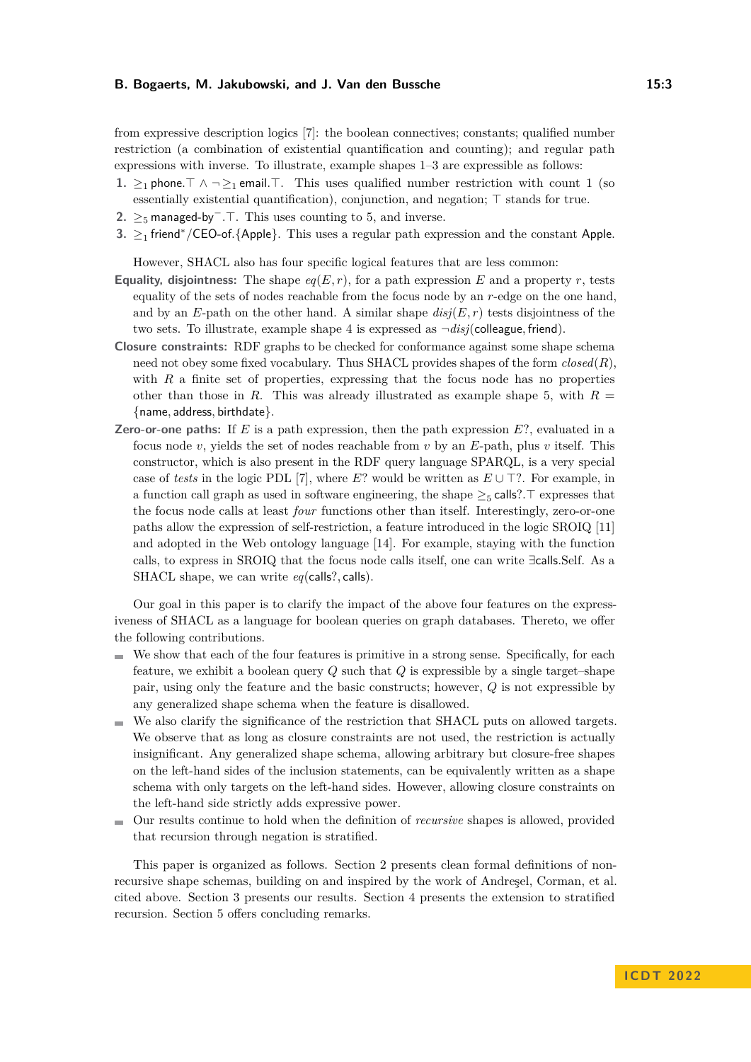from expressive description logics [\[7\]](#page-15-7): the boolean connectives; constants; qualified number restriction (a combination of existential quantification and counting); and regular path expressions with inverse. To illustrate, example shapes 1–3 are expressible as follows:

- **1.** ≥<sub>1</sub> phone. $\top \wedge \neg \geq_1$  email. $\top$ . This uses qualified number restriction with count 1 (so essentially existential quantification), conjunction, and negation;  $\top$  stands for true.
- **2.** ≥<sub>5</sub> managed-by<sup>−</sup>.⊤. This uses counting to 5, and inverse.
- **3.** ≥<sup>1</sup> friend<sup>∗</sup> */*CEO-of*.*{Apple}. This uses a regular path expression and the constant Apple.

However, SHACL also has four specific logical features that are less common:

- **Equality, disjointness:** The shape  $eq(E,r)$ , for a path expression *E* and a property *r*, tests equality of the sets of nodes reachable from the focus node by an *r*-edge on the one hand, and by an  $E$ -path on the other hand. A similar shape  $disj(E, r)$  tests disjointness of the two sets. To illustrate, example shape 4 is expressed as  $\neg disj$ (colleague, friend).
- **Closure constraints:** RDF graphs to be checked for conformance against some shape schema need not obey some fixed vocabulary. Thus SHACL provides shapes of the form *closed*(*R*), with *R* a finite set of properties, expressing that the focus node has no properties other than those in *R*. This was already illustrated as example shape 5, with  $R =$ {name*,* address*,* birthdate}.
- **Zero-or-one paths:** If *E* is a path expression, then the path expression *E*?, evaluated in a focus node *v*, yields the set of nodes reachable from *v* by an *E*-path, plus *v* itself. This constructor, which is also present in the RDF query language SPARQL, is a very special case of *tests* in the logic PDL [\[7\]](#page-15-7), where  $E$ ? would be written as  $E \cup T$ ?. For example, in a function call graph as used in software engineering, the shape  $\geq_5$  calls?. T expresses that the focus node calls at least *four* functions other than itself. Interestingly, zero-or-one paths allow the expression of self-restriction, a feature introduced in the logic SROIQ [\[11\]](#page-15-8) and adopted in the Web ontology language [\[14\]](#page-15-9). For example, staying with the function calls, to express in SROIQ that the focus node calls itself, one can write ∃calls*.*Self. As a SHACL shape, we can write *eq*(calls?*,* calls).

Our goal in this paper is to clarify the impact of the above four features on the expressiveness of SHACL as a language for boolean queries on graph databases. Thereto, we offer the following contributions.

- We show that each of the four features is primitive in a strong sense. Specifically, for each feature, we exhibit a boolean query *Q* such that *Q* is expressible by a single target–shape pair, using only the feature and the basic constructs; however, *Q* is not expressible by any generalized shape schema when the feature is disallowed.
- We also clarify the significance of the restriction that SHACL puts on allowed targets. m. We observe that as long as closure constraints are not used, the restriction is actually insignificant. Any generalized shape schema, allowing arbitrary but closure-free shapes on the left-hand sides of the inclusion statements, can be equivalently written as a shape schema with only targets on the left-hand sides. However, allowing closure constraints on the left-hand side strictly adds expressive power.
- Our results continue to hold when the definition of *recursive* shapes is allowed, provided  $\blacksquare$ that recursion through negation is stratified.

This paper is organized as follows. Section [2](#page-3-0) presents clean formal definitions of nonrecursive shape schemas, building on and inspired by the work of Andreşel, Corman, et al. cited above. Section [3](#page-6-0) presents our results. Section [4](#page-12-0) presents the extension to stratified recursion. Section [5](#page-13-0) offers concluding remarks.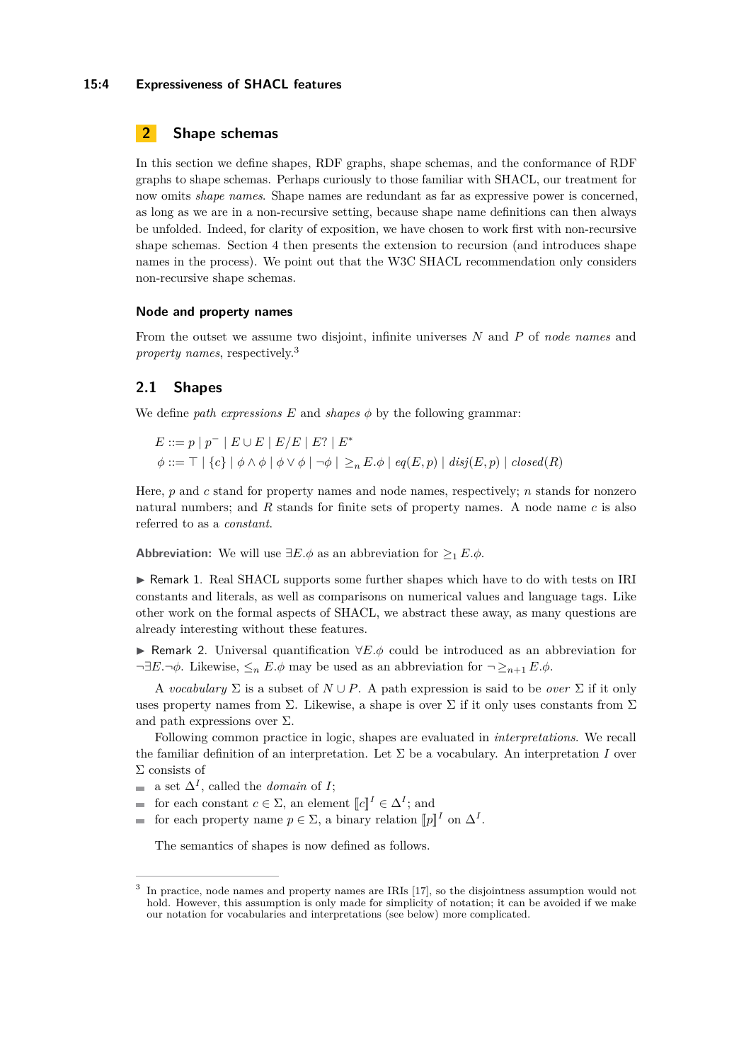## **15:4 Expressiveness of SHACL features**

# <span id="page-3-0"></span>**2 Shape schemas**

In this section we define shapes, RDF graphs, shape schemas, and the conformance of RDF graphs to shape schemas. Perhaps curiously to those familiar with SHACL, our treatment for now omits *shape names*. Shape names are redundant as far as expressive power is concerned, as long as we are in a non-recursive setting, because shape name definitions can then always be unfolded. Indeed, for clarity of exposition, we have chosen to work first with non-recursive shape schemas. Section [4](#page-12-0) then presents the extension to recursion (and introduces shape names in the process). We point out that the W3C SHACL recommendation only considers non-recursive shape schemas.

## **Node and property names**

From the outset we assume two disjoint, infinite universes *N* and *P* of *node names* and *property names*, respectively.[3](#page-3-1)

# **2.1 Shapes**

We define *path expressions*  $E$  and *shapes*  $\phi$  by the following grammar:

$$
E ::= p | p^- | E \cup E | E/E | E? | E^*
$$
  

$$
\phi ::= \top | \{c\} | \phi \wedge \phi | \phi \vee \phi | \neg \phi | \geq_n E.\phi | eq(E, p) | disj(E, p) | closed(R)
$$

Here, *p* and *c* stand for property names and node names, respectively; *n* stands for nonzero natural numbers; and *R* stands for finite sets of property names. A node name *c* is also referred to as a *constant*.

**Abbreviation:** We will use  $\exists E.\phi$  as an abbreviation for  $\geq_1 E.\phi$ .

► Remark 1. Real SHACL supports some further shapes which have to do with tests on IRI constants and literals, as well as comparisons on numerical values and language tags. Like other work on the formal aspects of SHACL, we abstract these away, as many questions are already interesting without these features.

I Remark 2. Universal quantification ∀*E.φ* could be introduced as an abbreviation for  $\neg \exists E. \neg \phi$ . Likewise,  $\leq_n E. \phi$  may be used as an abbreviation for  $\neg \geq_{n+1} E. \phi$ .

A *vocabulary*  $\Sigma$  is a subset of  $N \cup P$ . A path expression is said to be *over*  $\Sigma$  if it only uses property names from  $\Sigma$ . Likewise, a shape is over  $\Sigma$  if it only uses constants from  $\Sigma$ and path expressions over  $\Sigma$ .

Following common practice in logic, shapes are evaluated in *interpretations*. We recall the familiar definition of an interpretation. Let  $\Sigma$  be a vocabulary. An interpretation *I* over Σ consists of

- a set  $\Delta^I$ , called the *domain* of *I*;  $\sim$
- for each constant  $c \in \Sigma$ , an element  $\llbracket c \rrbracket^I \in \Delta^I$ ; and  $f_{\text{rel}}$  is a property power of  $\Sigma$ , a higher subtribution  $\llbracket \cdot \rrbracket$  $\overline{a}$
- for each property name  $p \in \Sigma$ , a binary relation  $[\![p]\!]^I$  on  $\Delta^I$ .

The semantics of shapes is now defined as follows.

<span id="page-3-1"></span><sup>3</sup> In practice, node names and property names are IRIs [\[17\]](#page-15-0), so the disjointness assumption would not hold. However, this assumption is only made for simplicity of notation; it can be avoided if we make our notation for vocabularies and interpretations (see below) more complicated.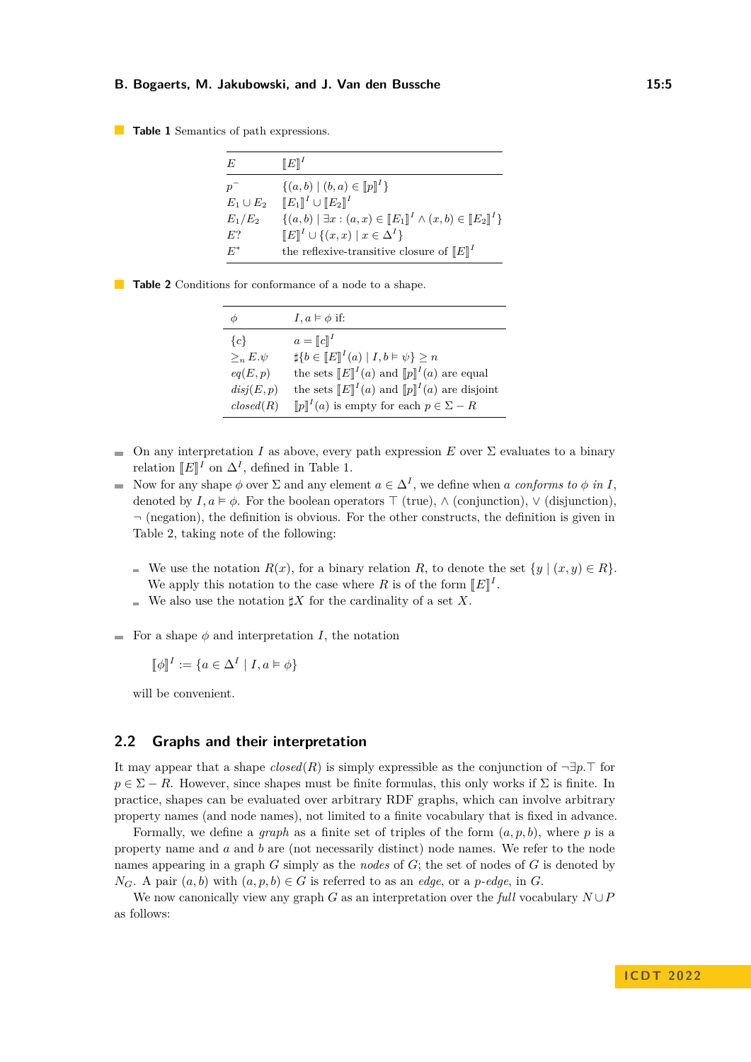#### <span id="page-4-0"></span>**Table 1** Semantics of path expressions.

| E              | $\llbracket E \rrbracket^I$                                             |
|----------------|-------------------------------------------------------------------------|
| $p^-$          | $\{(a,b)   (b,a) \in [p]^I\}$                                           |
| $E_1 \cup E_2$ | $[ [E_1]^{I} \cup [E_2]^{I}$                                            |
| $E_1/E_2$      | $\{(a, b)   \exists x : (a, x) \in [E_1]^I \land (x, b) \in [E_2]^I\}$  |
| $E$ ?          | $[E]^I \cup \{(x,x) \mid x \in \Delta^I\}$                              |
| $E^*$          | the reflexive-transitive closure of $[$ E $]$ <sup><math>I</math></sup> |

| Φ                 | $I, a \models \phi$ if:                                                 |
|-------------------|-------------------------------------------------------------------------|
| ${c}$             | $a = \llbracket c \rrbracket^I$                                         |
| $\geq_{n} E.\psi$ | $\sharp \{b \in [E]^I(a)   I, b \models \psi\} \geq n$                  |
| eq(E,p)           | the sets $[{\mathbb E}]^{I}(a)$ and $[{\mathbb p}]^{I}(a)$ are equal    |
| disj(E,p)         | the sets $[{\mathbb E}]^{I}(a)$ and $[{\mathbb p}]^{I}(a)$ are disjoint |
| closed(R)         | $[\![p]\!]^I(a)$ is empty for each $p \in \Sigma - R$                   |

<span id="page-4-1"></span>

|  |  | <b>Table 2</b> Conditions for conformance of a node to a shape. |  |  |
|--|--|-----------------------------------------------------------------|--|--|

- On any interpretation *I* as above, every path expression  $E$  over  $\Sigma$  evaluates to a binary  $\overline{\phantom{a}}$ relation  $[[E]]^I$  on  $\Delta^I$ , defined in Table [1.](#page-4-0)
- Now for any shape  $\phi$  over  $\Sigma$  and any element  $a \in \Delta^I$ , we define when *a* conforms to  $\phi$  in *I*, denoted by  $I, a \models \phi$ . For the boolean operators  $\top$  (true),  $\wedge$  (conjunction),  $\vee$  (disjunction),  $\neg$  (negation), the definition is obvious. For the other constructs, the definition is given in Table [2,](#page-4-1) taking note of the following:
	- We use the notation  $R(x)$ , for a binary relation R, to denote the set  $\{y \mid (x, y) \in R\}$ . We apply this notation to the case where *R* is of the form  $[[E]]^I$ .
	- We also use the notation  $\sharp X$  for the cardinality of a set X.
- For a shape  $\phi$  and interpretation *I*, the notation

 $\llbracket \phi \rrbracket^I := \{ a \in \Delta^I \mid I, a \models \phi \}$ 

will be convenient.

# **2.2 Graphs and their interpretation**

It may appear that a shape  $closed(R)$  is simply expressible as the conjunction of  $\neg \exists p$ . T for  $p \in \Sigma - R$ . However, since shapes must be finite formulas, this only works if  $\Sigma$  is finite. In practice, shapes can be evaluated over arbitrary RDF graphs, which can involve arbitrary property names (and node names), not limited to a finite vocabulary that is fixed in advance.

Formally, we define a *graph* as a finite set of triples of the form (*a, p, b*), where *p* is a property name and *a* and *b* are (not necessarily distinct) node names. We refer to the node names appearing in a graph *G* simply as the *nodes* of *G*; the set of nodes of *G* is denoted by *N<sub>G</sub>*. A pair  $(a, b)$  with  $(a, p, b) \in G$  is referred to as an *edge*, or a *p*-*edge*, in *G*.

We now canonically view any graph *G* as an interpretation over the *full* vocabulary  $N \cup P$ as follows: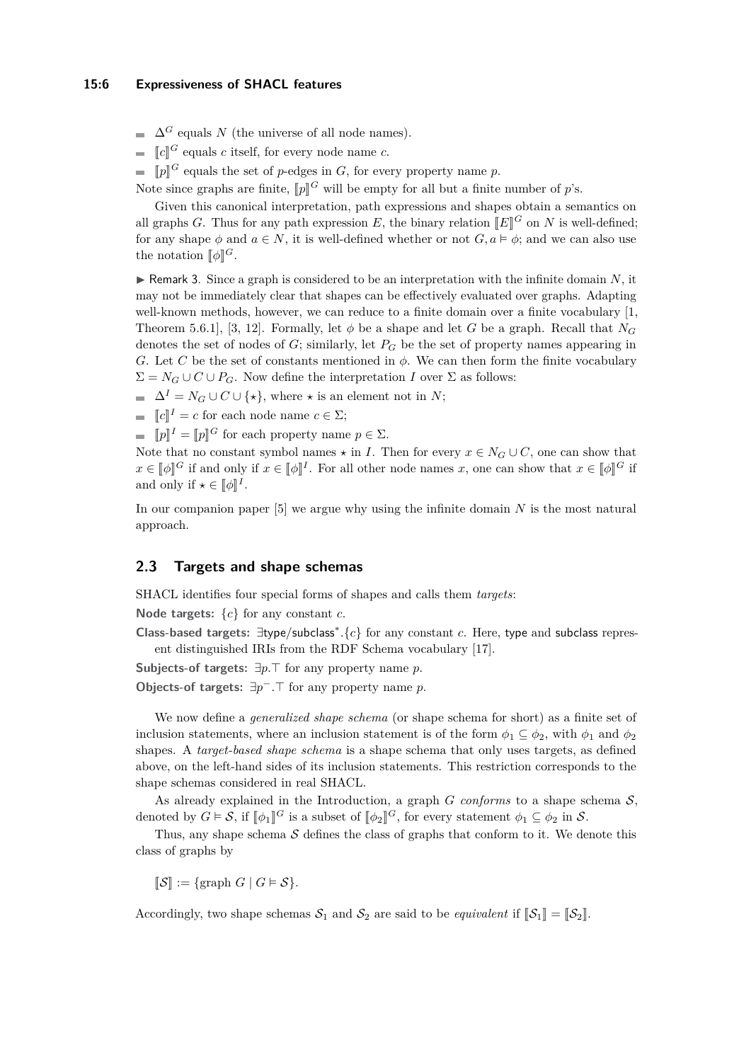$\Delta^G$  equals *N* (the universe of all node names).

 $\llbracket c \rrbracket^G$  equals *c* itself, for every node name *c*.

 $[p]^G$  equals the set of *p*-edges in *G*, for every property name *p*.

Note since graphs are finite,  $[p]$ <sup>G</sup> will be empty for all but a finite number of *p*'s.

Given this canonical interpretation, path expressions and shapes obtain a semantics on all graphs *G*. Thus for any path expression *E*, the binary relation  $[[E]]^G$  on *N* is well-defined; for any shape  $\phi$  and  $a \in N$ , it is well-defined whether or not  $G, a \models \phi$ ; and we can also use the notation  $[\![\phi]\!]^G$ .

 $\triangleright$  Remark 3. Since a graph is considered to be an interpretation with the infinite domain *N*, it may not be immediately clear that shapes can be effectively evaluated over graphs. Adapting well-known methods, however, we can reduce to a finite domain over a finite vocabulary [\[1,](#page-14-1) Theorem 5.6.1], [\[3,](#page-15-10) [12\]](#page-15-11). Formally, let  $\phi$  be a shape and let *G* be a graph. Recall that  $N_G$ denotes the set of nodes of *G*; similarly, let *P<sup>G</sup>* be the set of property names appearing in *G*. Let *C* be the set of constants mentioned in  $\phi$ . We can then form the finite vocabulary  $\Sigma = N_G \cup C \cup P_G$ . Now define the interpretation *I* over  $\Sigma$  as follows:

- $\Delta^I = N_G \cup C \cup \{ \star \}, \text{ where } \star \text{ is an element not in } N;$
- $\llbracket c \rrbracket^I = c$  for each node name  $c \in \Sigma;$
- $[\![p]\!]^I = [\![p]\!]^G$  for each property name  $p \in \Sigma$ .

Note that no constant symbol names  $\star$  in *I*. Then for every  $x \in N_G \cup C$ , one can show that  $x \in [\![\phi]\!]^G$  if and only if  $x \in [\![\phi]\!]^I$ . For all other node names *x*, one can show that  $x \in [\![\phi]\!]^G$  if and only if  $\star \in [\![\phi]\!]^I$ .

In our companion paper [\[5\]](#page-15-12) we argue why using the infinite domain *N* is the most natural approach.

# **2.3 Targets and shape schemas**

SHACL identifies four special forms of shapes and calls them *targets*:

**Node targets:** {*c*} for any constant *c*.

**Class-based targets:** ∃type*/*subclass<sup>∗</sup> *.*{*c*} for any constant *c*. Here, type and subclass represent distinguished IRIs from the RDF Schema vocabulary [\[17\]](#page-15-0).

**Subjects-of targets:**  $\exists p.\top$  for any property name *p*.

**Objects-of targets:**  $\exists p^- . \top$  for any property name *p*.

We now define a *generalized shape schema* (or shape schema for short) as a finite set of inclusion statements, where an inclusion statement is of the form  $\phi_1 \subseteq \phi_2$ , with  $\phi_1$  and  $\phi_2$ shapes. A *target-based shape schema* is a shape schema that only uses targets, as defined above, on the left-hand sides of its inclusion statements. This restriction corresponds to the shape schemas considered in real SHACL.

As already explained in the Introduction, a graph  $G$  *conforms* to a shape schema  $S$ , denoted by  $G \models S$ , if  $[\![\phi_1]\!]^G$  is a subset of  $[\![\phi_2]\!]^G$ , for every statement  $\phi_1 \subseteq \phi_2$  in S.

Thus, any shape schema  $S$  defines the class of graphs that conform to it. We denote this class of graphs by

 $\llbracket \mathcal{S} \rrbracket := \{ \text{graph } G \mid G \models \mathcal{S} \}.$ 

Accordingly, two shape schemas  $S_1$  and  $S_2$  are said to be *equivalent* if  $\llbracket S_1 \rrbracket = \llbracket S_2 \rrbracket$ .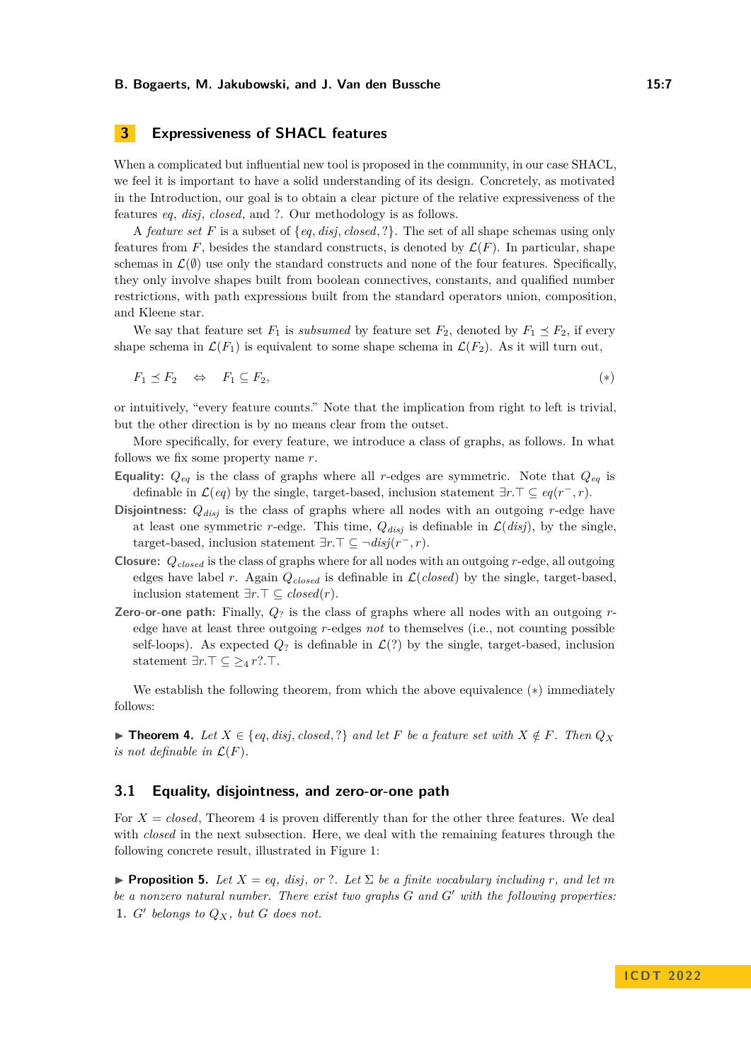# <span id="page-6-0"></span>**3 Expressiveness of SHACL features**

When a complicated but influential new tool is proposed in the community, in our case SHACL, we feel it is important to have a solid understanding of its design. Concretely, as motivated in the Introduction, our goal is to obtain a clear picture of the relative expressiveness of the features *eq*, *disj*, *closed*, and ?. Our methodology is as follows.

A *feature set F* is a subset of {*eq, disj, closed,* ?}. The set of all shape schemas using only features from  $F$ , besides the standard constructs, is denoted by  $\mathcal{L}(F)$ . In particular, shape schemas in  $\mathcal{L}(\emptyset)$  use only the standard constructs and none of the four features. Specifically, they only involve shapes built from boolean connectives, constants, and qualified number restrictions, with path expressions built from the standard operators union, composition, and Kleene star.

We say that feature set  $F_1$  is *subsumed* by feature set  $F_2$ , denoted by  $F_1 \preceq F_2$ , if every shape schema in  $\mathcal{L}(F_1)$  is equivalent to some shape schema in  $\mathcal{L}(F_2)$ . As it will turn out,

<span id="page-6-1"></span>
$$
F_1 \preceq F_2 \quad \Leftrightarrow \quad F_1 \subseteq F_2,\tag{*}
$$

or intuitively, "every feature counts." Note that the implication from right to left is trivial, but the other direction is by no means clear from the outset.

More specifically, for every feature, we introduce a class of graphs, as follows. In what follows we fix some property name *r*.

- **Equality:**  $Q_{eq}$  is the class of graphs where all *r*-edges are symmetric. Note that  $Q_{eq}$  is definable in  $\mathcal{L}(eq)$  by the single, target-based, inclusion statement  $\exists r.\top \subseteq eq(r^-,r)$ .
- **Disjointness:**  $Q_{disj}$  is the class of graphs where all nodes with an outgoing *r*-edge have at least one symmetric *r*-edge. This time,  $Q_{disj}$  is definable in  $\mathcal{L}(disj)$ , by the single, target-based, inclusion statement  $\exists r.\top \subseteq \neg disj(r^-, r)$ .
- **Closure:** *Qclosed* is the class of graphs where for all nodes with an outgoing *r*-edge, all outgoing edges have label *r*. Again  $Q_{closed}$  is definable in  $\mathcal{L}(closed)$  by the single, target-based, inclusion statement  $∃r.⊤ ⊆ closed(r)$ .
- **Zero-or-one path:** Finally,  $Q_2$  is the class of graphs where all nodes with an outgoing  $r$ edge have at least three outgoing *r*-edges *not* to themselves (i.e., not counting possible self-loops). As expected  $Q_2$  is definable in  $\mathcal{L}(?)$  by the single, target-based, inclusion statement  $\exists r.\top \subseteq \geq_4 r?$ . $\top$ .

We establish the following theorem, from which the above equivalence (\*) immediately follows:

<span id="page-6-2"></span>▶ **Theorem 4.** Let  $X \in \{eq, disj, closed, ?\}$  and let  $F$  be a feature set with  $X \notin F$ . Then  $Q_X$ *is not definable in*  $\mathcal{L}(F)$ *.* 

# **3.1 Equality, disjointness, and zero-or-one path**

For  $X = closed$ , Theorem [4](#page-6-2) is proven differently than for the other three features. We deal with *closed* in the next subsection. Here, we deal with the remaining features through the following concrete result, illustrated in Figure [1:](#page-7-0)

<span id="page-6-3"></span>**Proposition 5.** Let  $X = eq$ , disj, or ?. Let  $\Sigma$  be a finite vocabulary including r, and let m *be a nonzero natural number. There exist two graphs G* and *G*<sup> $\prime$ </sup> *with the following properties:* 1.  $G'$  belongs to  $Q_X$ , but  $G$  does not.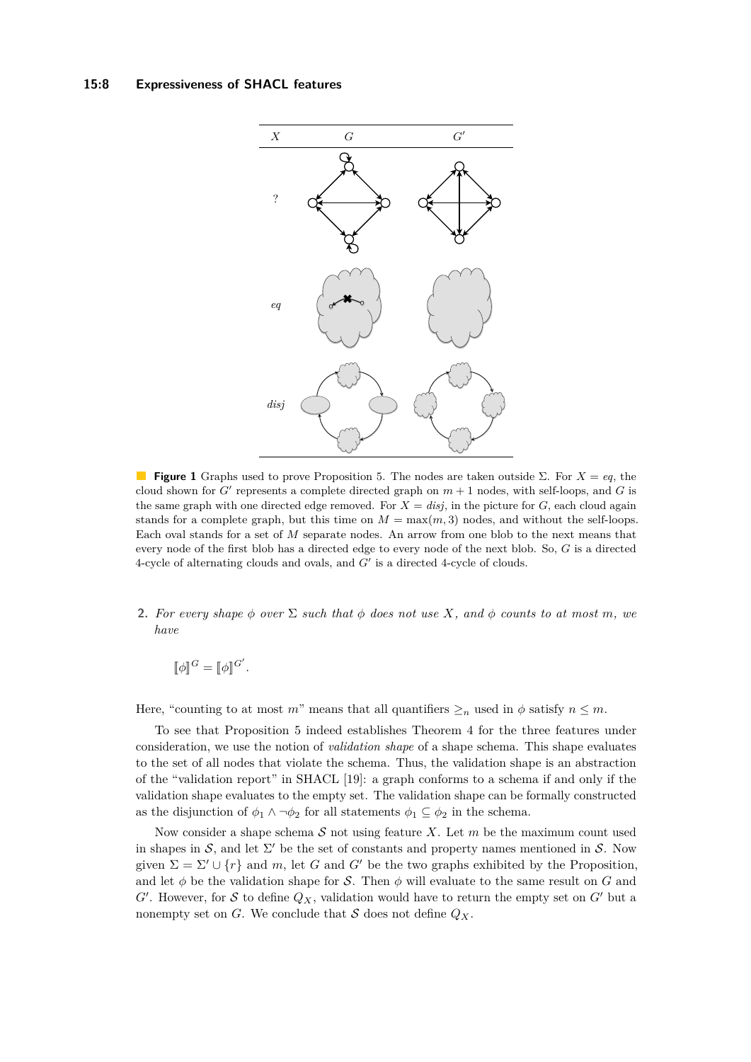## <span id="page-7-0"></span>**15:8 Expressiveness of SHACL features**



**Figure 1** Graphs used to prove Proposition [5.](#page-6-3) The nodes are taken outside Σ. For *X* = *eq*, the cloud shown for  $G'$  represents a complete directed graph on  $m + 1$  nodes, with self-loops, and  $G$  is the same graph with one directed edge removed. For  $X = disj$ , in the picture for  $G$ , each cloud again stands for a complete graph, but this time on  $M = \max(m, 3)$  nodes, and without the self-loops. Each oval stands for a set of *M* separate nodes. An arrow from one blob to the next means that every node of the first blob has a directed edge to every node of the next blob. So, *G* is a directed  $4$ -cycle of alternating clouds and ovals, and  $G'$  is a directed  $4$ -cycle of clouds.

**2.** For every shape  $\phi$  over  $\Sigma$  such that  $\phi$  does not use X, and  $\phi$  counts to at most m, we *have*

 $\llbracket \phi \rrbracket^G = \llbracket \phi \rrbracket^{G'}$ .

Here, "counting to at most *m*" means that all quantifiers  $\geq_n$  used in  $\phi$  satisfy  $n \leq m$ .

To see that Proposition [5](#page-6-3) indeed establishes Theorem [4](#page-6-2) for the three features under consideration, we use the notion of *validation shape* of a shape schema. This shape evaluates to the set of all nodes that violate the schema. Thus, the validation shape is an abstraction of the "validation report" in SHACL [\[19\]](#page-15-2): a graph conforms to a schema if and only if the validation shape evaluates to the empty set. The validation shape can be formally constructed as the disjunction of  $\phi_1 \wedge \neg \phi_2$  for all statements  $\phi_1 \subseteq \phi_2$  in the schema.

Now consider a shape schema S not using feature *X*. Let *m* be the maximum count used in shapes in S, and let  $\Sigma'$  be the set of constants and property names mentioned in S. Now given  $\Sigma = \Sigma' \cup \{r\}$  and *m*, let *G* and *G'* be the two graphs exhibited by the Proposition, and let  $\phi$  be the validation shape for S. Then  $\phi$  will evaluate to the same result on G and  $G'$ . However, for S to define  $Q_X$ , validation would have to return the empty set on  $G'$  but a nonempty set on *G*. We conclude that *S* does not define  $Q_X$ .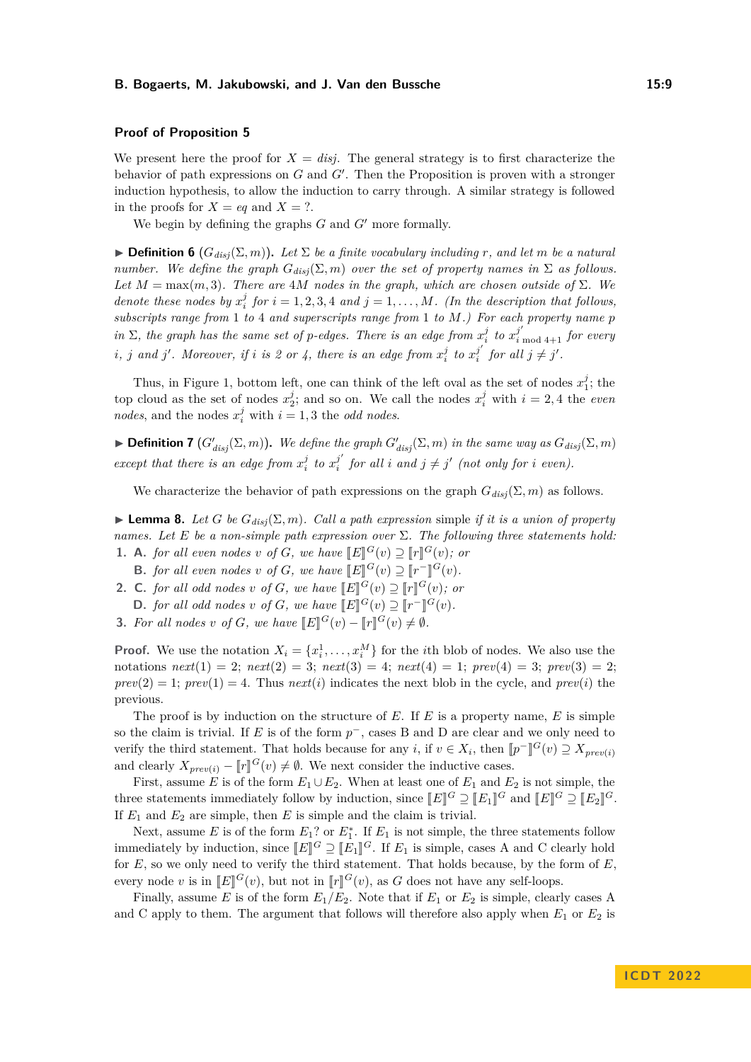## **Proof of Proposition [5](#page-6-3)**

We present here the proof for  $X = disj$ . The general strategy is to first characterize the behavior of path expressions on  $G$  and  $G'$ . Then the Proposition is proven with a stronger induction hypothesis, to allow the induction to carry through. A similar strategy is followed in the proofs for  $X = eq$  and  $X = ?$ .

We begin by defining the graphs  $G$  and  $G'$  more formally.

 $\triangleright$  **Definition 6** ( $G_{disj}(\Sigma, m)$ ). Let  $\Sigma$  be a finite vocabulary including r, and let m be a natural *number.* We define the graph  $G_{disj}(\Sigma, m)$  over the set of property names in  $\Sigma$  *as follows. Let*  $M = \max(m, 3)$ *. There are 4M nodes in the graph, which are chosen outside of*  $\Sigma$ *. We denote these nodes by*  $x_i^j$  *for*  $i = 1, 2, 3, 4$  *and*  $j = 1, \ldots, M$ *. (In the description that follows, subscripts range from* 1 *to* 4 *and superscripts range from* 1 *to M.) For each property name p in*  $\Sigma$ , the graph has the same set of *p*-edges. There is an edge from  $x_i^j$  to  $x_i^{j'}$  to  $x_i^{j'}$  for every *i*, *j* and *j*'. Moreover, if *i* is 2 or 4, there is an edge from  $x_i^j$  to  $x_i^{j'}$  $j'$  *for all*  $j \neq j'$ .

Thus, in Figure [1,](#page-7-0) bottom left, one can think of the left oval as the set of nodes  $x_1^j$ ; the top cloud as the set of nodes  $x_2^j$ ; and so on. We call the nodes  $x_i^j$  with  $i = 2, 4$  the *even nodes*, and the nodes  $x_i^j$  with  $i = 1, 3$  the *odd nodes*.

**Definition 7**  $(G'_{disj}(\Sigma, m))$ . We define the graph  $G'_{disj}(\Sigma, m)$  in the same way as  $G_{disj}(\Sigma, m)$ *except that there is an edge from*  $x_i^j$  to  $x_i^{j'}$  $j'$  for all *i* and  $j \neq j'$  (not only for *i* even).

We characterize the behavior of path expressions on the graph  $G_{disj}(\Sigma, m)$  as follows.

<span id="page-8-0"></span>**Lemma 8.** Let G be  $G_{disj}(\Sigma, m)$ . Call a path expression simple *if it is a union of property names. Let E be a non-simple path expression over* Σ*. The following three statements hold:* **1. A.** *for all even nodes v of G*, *we have*  $\mathbb{E}[\mathbf{E}]^G(v) \supseteq [\mathbf{F}]^G(v)$ ; *or* 

- **B.** *for all even nodes v of G*, *we have*  $\llbracket E \rrbracket^G(v) \supseteq \llbracket r \rrbracket^G(v)$ .
- **2. C.** for all odd nodes *v* of *G*, we have  $\llbracket E \rrbracket^G(v) \supseteq \llbracket r \rrbracket^G(v)$ ; or
- **D.** *for all odd nodes v of G, we have*  $\llbracket E \rrbracket^G(v) \supseteq \llbracket r^{-} \rrbracket^G(v)$ .
- **3.** For all nodes *v* of *G*, we have  $[[E]]^G(v) [[r]]^G(v) \neq \emptyset$ .

**Proof.** We use the notation  $X_i = \{x_i^1, \ldots, x_i^M\}$  for the *i*th blob of nodes. We also use the notations  $next(1) = 2$ ;  $next(2) = 3$ ;  $next(3) = 4$ ;  $next(4) = 1$ ;  $prev(4) = 3$ ;  $prev(3) = 2$ ;  $prev(2) = 1$ ;  $prev(1) = 4$ . Thus  $next(i)$  indicates the next blob in the cycle, and  $prev(i)$  the previous.

The proof is by induction on the structure of *E*. If *E* is a property name, *E* is simple so the claim is trivial. If *E* is of the form  $p^-$ , cases B and D are clear and we only need to verify the third statement. That holds because for any *i*, if  $v \in X_i$ , then  $[\![p]^{-1}$  $\mathbb{F}^{G}(v) \supseteq X_{prev(i)}$ and clearly  $X_{prev(i)} - [\![r]\!]^G(v) \neq \emptyset$ . We next consider the inductive cases.

First, assume *E* is of the form  $E_1 \cup E_2$ . When at least one of  $E_1$  and  $E_2$  is not simple, the three statements immediately follow by induction, since  $[[E]]^G \supseteq [[E_1]]^G$  and  $[[E]]^G \supseteq [[E_2]]^G$ . If  $E_1$  and  $E_2$  are simple, then  $E$  is simple and the claim is trivial.

Next, assume  $E$  is of the form  $E_1$ ? or  $E_1^*$ . If  $E_1$  is not simple, the three statements follow immediately by induction, since  $[[E]]^G \supseteq [[E_1]]^G$ . If  $E_1$  is simple, cases A and C clearly hold<br>for *E*<sub>i</sub> ca we sply need to verify the third statement. That holds because by the form of *E* for  $E$ , so we only need to verify the third statement. That holds because, by the form of  $E$ , every node *v* is in  $[[E]]^G(v)$ , but not in  $[[r]]^G(v)$ , as *G* does not have any self-loops.

Finally, assume *E* is of the form  $E_1/E_2$ . Note that if  $E_1$  or  $E_2$  is simple, clearly cases A and C apply to them. The argument that follows will therefore also apply when  $E_1$  or  $E_2$  is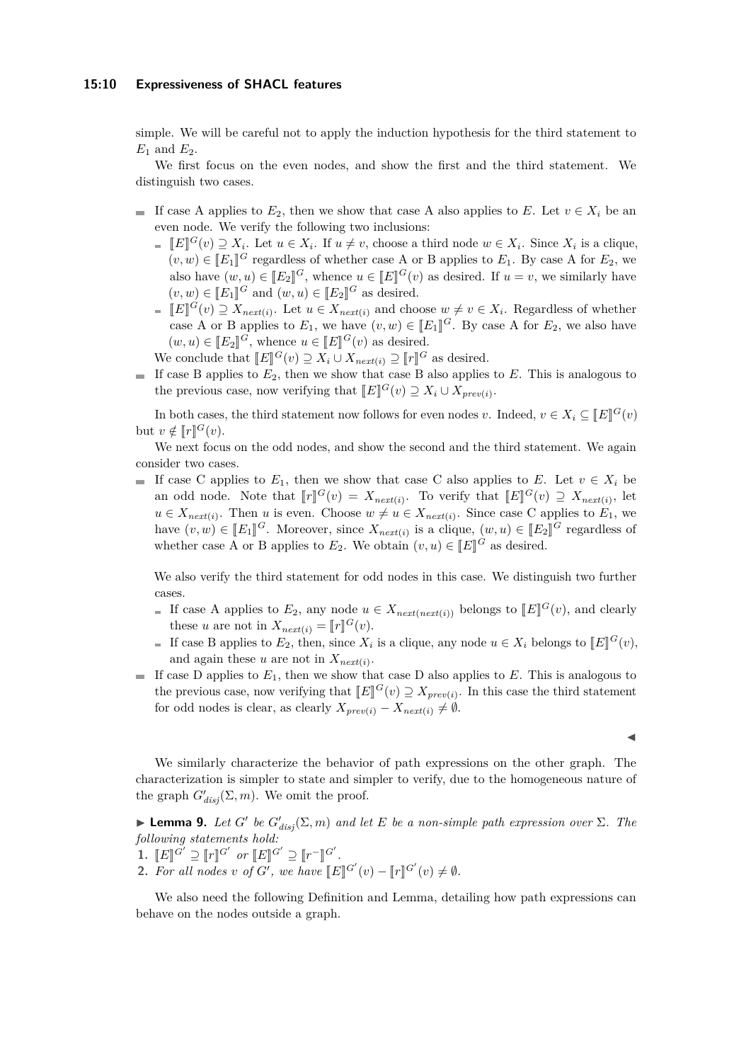#### **15:10 Expressiveness of SHACL features**

simple. We will be careful not to apply the induction hypothesis for the third statement to  $E_1$  and  $E_2$ .

We first focus on the even nodes, and show the first and the third statement. We distinguish two cases.

- If case A applies to  $E_2$ , then we show that case A also applies to  $E$ . Let  $v \in X_i$  be an even node. We verify the following two inclusions:
	- $[[E]]^G(v) \supseteq X_i$ . Let  $u \in X_i$ . If  $u \neq v$ , choose a third node  $w \in X_i$ . Since  $X_i$  is a clique,<br>(*a*, *a*) ∈ <sup>[[*F*</sup>]<sup>I</sup>G pogardlage of whather gase A on B applies to F<sub>r</sub>. Dy gase A for F<sub>r</sub>, we  $(v, w) \in [E_1]^G$  regardless of whether case A or B applies to  $E_1$ . By case A for  $E_2$ , we also have  $(w, w) \in \mathbb{F} \mathbb{F} \mathbb{F} \mathbb{F} \mathbb{F} \mathbb{F} \mathbb{F} \mathbb{F} \mathbb{F} \mathbb{F} \mathbb{F} \mathbb{F} \mathbb{F} \mathbb{F} \mathbb{F} \mathbb{F} \mathbb{F} \mathbb{F} \mathbb{F$ also have  $(w, u) \in [E_2]^G$ , whence  $u \in [E]^G(v)$  as desired. If  $u = v$ , we similarly have  $(v, w) \in [E_1]^G$  and  $(w, u) \in [E_2]^G$  as desired.
	- $[E]^{G}(v) \supseteq X_{next(i)}$ . Let  $u \in X_{next(i)}$  and choose  $w \neq v \in X_i$ . Regardless of whether case A or B applies to  $E_1$ , we have  $(v, w) \in [E_1]^G$ . By case A for  $E_2$ , we also have  $(w, u) \in [E_2]^G$ , whence  $u \in [E]^G(v)$  as desired.
	- We conclude that  $[[E]]^G(v) \supseteq X_i \cup X_{next(i)} \supseteq [[r]]^G$  as desired.
- If case B applies to  $E_2$ , then we show that case B also applies to  $E$ . This is analogous to the previous case, now verifying that  $[[E]]^G(v) \supseteq X_i \cup X_{prev(i)}$ .

In both cases, the third statement now follows for even nodes *v*. Indeed,  $v \in X_i \subseteq [E]^G(v)$ but  $v \notin [r]^G(v)$ .

We next focus on the odd nodes, and show the second and the third statement. We again consider two cases.

If case C applies to  $E_1$ , then we show that case C also applies to *E*. Let  $v \in X_i$  be an odd node. Note that  $[\![r]\!]^G(v) = X_{next(i)}$ . To verify that  $[\![E]\!]^G(v) \supseteq X_{next(i)}$ , let  $u \in X_{next}(i)$ . Then *u* is even. Choose  $w \neq u \in X_{next}(i)$ . Since case C applies to  $E_1$ , we have  $(v, w) \in [E_1]$ <sup>*G*</sup>. Moreover, since  $X_{next}(i)$  is a clique,  $(w, u) \in [E_2]$ <sup>*G*</sup> regardless of whether case A or B applies to  $E_2$ . We obtain  $(v, u) \in [E]$ <sup>*G*</sup> as desired.

We also verify the third statement for odd nodes in this case. We distinguish two further cases.

- If case A applies to  $E_2$ , any node  $u \in X_{next(next(i))}$  belongs to  $[[E]]^G(v)$ , and clearly these *u* are not in  $X_{next}(i) = [r]^G(v)$ .<br> *G* case *R* annling to *E* than since *Y*
- If case B applies to  $E_2$ , then, since  $X_i$  is a clique, any node  $u \in X_i$  belongs to  $[[E]]^G(v)$ , and again these *u* are not in  $X_{next(i)}$ .
- If case D applies to  $E_1$ , then we show that case D also applies to  $E$ . This is analogous to the previous case, now verifying that  $[[E]]^G(v) \supseteq X_{prev(i)}$ . In this case the third statement for add nodes is clear, as clearly  $X$ for odd nodes is clear, as clearly  $X_{\text{prev}(i)} - X_{\text{next}(i)} \neq \emptyset$ .

J

We similarly characterize the behavior of path expressions on the other graph. The characterization is simpler to state and simpler to verify, due to the homogeneous nature of the graph  $G'_{disj}(\Sigma, m)$ . We omit the proof.

<span id="page-9-0"></span>**Lemma 9.** *Let G*<sup> $\prime$ </sup> *be*  $G'_{disj}(\Sigma, m)$  *and let E be a non-simple path expression over*  $\Sigma$ *. The following statements hold:*

- **1.**  $[ E ]^{G'} \supseteq [r]^{G'}$  or  $[ E ]^{G'} \supseteq [r^-]^{G'}$ .<br>
2. *Equall value of*  $G'$  *and less* for
- **2.** For all nodes *v* of *G*<sup>*'*</sup>, we have  $\llbracket E \rrbracket^{G'}(v) \llbracket r \rrbracket^{G'}(v) \neq \emptyset$ .

We also need the following Definition and Lemma, detailing how path expressions can behave on the nodes outside a graph.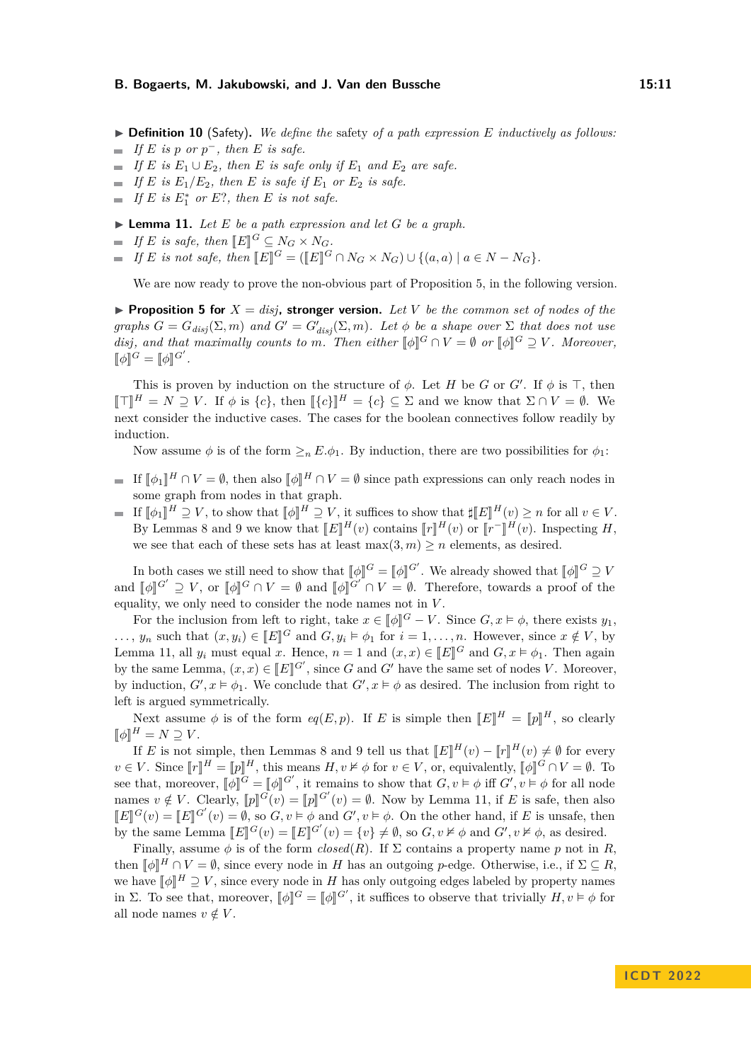$\triangleright$  **Definition 10** (Safety). We define the safety of a path expression E inductively as follows:

- $If E$  *is*  $p$  *or*  $p^-$ *, then*  $E$  *is safe.*
- *If*  $E$  *is*  $E_1 \cup E_2$ *, then*  $E$  *is safe only if*  $E_1$  *and*  $E_2$  *are safe.*
- $\blacksquare$  *If E* is  $E_1/E_2$ , then *E* is safe if  $E_1$  or  $E_2$  is safe.
- *If*  $E$  *is*  $E_1^*$  *or*  $E$ ?, *then*  $E$  *is not safe.*

<span id="page-10-0"></span> $\blacktriangleright$  **Lemma 11.** Let *E* be a path expression and let *G* be a graph.

 $If E$  *is safe, then*  $[ E ]^G \subseteq N_G \times N_G$ .<br>*If*  $E$  *is not of a then*  $[ E \mathbb{R}^d]$  ( $[ E \mathbb{R}^d]$ 

*If E is not safe, then*  $[[E]]^G = ([[E]]^G \cap N_G \times N_G) \cup \{(a, a) \mid a \in N - N_G\}$ .

We are now ready to prove the non-obvious part of Proposition [5,](#page-6-3) in the following version.

**Proposition [5](#page-6-3) for**  $X = disj$ , stronger version. Let V be the common set of nodes of the *graphs*  $G = G_{disj}(\Sigma, m)$  *and*  $G' = G'_{disj}(\Sigma, m)$ *. Let*  $\phi$  *be a shape over*  $\Sigma$  *that does not use disj, and that maximally counts to m. Then either*  $[\![\phi]\!]^G \cap V = \emptyset$  *or*  $[\![\phi]\!]^G \supseteq V$ *. Moreover,*  $[\![\phi]\!]^G = [\![\phi]\!]^{G'}$ .

This is proven by induction on the structure of  $\phi$ . Let *H* be *G* or *G'*. If  $\phi$  is  $\top$ , then  $\llbracket \mathcal{T} \rrbracket^H = N \supseteq V$ . If  $\phi$  is  $\{c\}$ , then  $\llbracket \{c\} \rrbracket^H = \{c\} \subseteq \Sigma$  and we know that  $\Sigma \cap V = \emptyset$ . We next consider the inductive cases. The cases for the boolean connectives follow readily by induction.

Now assume  $\phi$  is of the form  $\geq_n E.\phi_1$ . By induction, there are two possibilities for  $\phi_1$ :

- If  $[\![\phi]\!]^H \cap V = \emptyset$ , then also  $[\![\phi]\!]^H \cap V = \emptyset$  since path expressions can only reach nodes in some graph from nodes in that graph.
- If  $[\![\phi]\!]^H \supseteq V$ , to show that  $[\![\phi]\!]^H \supseteq V$ , it suffices to show that  $\sharp[\![\mathbf{E}]\!]^H(v) \geq n$  for all  $v \in V$ .<br>Put I approve 8 and 0 are know that  $[\![\mathbf{E}\!]^H(v)$  approximately  $[\![\mathbf{E}\!]^H(v)$  and  $[\![\mathbf{E}\!]^H(v)$ . Impo By Lemmas [8](#page-8-0) and [9](#page-9-0) we know that  $[[E]]^H(v)$  contains  $[[r]]^H(v)$  or  $[[r]]^H(v)$ . Inspecting *H*, we see that each of these sets has at least  $\max(3,m) \ge n$  elements, as desired.

In both cases we still need to show that  $[\![\phi]\!]^G = [\![\phi]\!]^G'$ . We already showed that  $[\![\phi]\!]^G \supseteq V$ and  $[\![\phi]\!]^{G'} \supseteq V$ , or  $[\![\phi]\!]^{G} \cap V = \emptyset$  and  $[\![\phi]\!]^{G'} \cap V = \emptyset$ . Therefore, towards a proof of the equality, we only need to consider the node names not in *V* .

For the inclusion from left to right, take  $x \in [\![\phi]\!]^G - V$ . Since  $G, x \models \phi$ , there exists  $y_1$ , ..., *y<sub>n</sub>* such that  $(x, y_i) \in [E]^G$  and  $G, y_i \models \phi_1$  for  $i = 1, \ldots, n$ . However, since  $x \notin V$ , by Lemma [11,](#page-10-0) all  $y_i$  must equal *x*. Hence,  $n = 1$  and  $(x, x) \in [E]^G$  and  $G, x \models \phi_1$ . Then again by the same Lemma,  $(x, x) \in [E]^{G'}$ , since *G* and *G*<sup>0</sup> have the same set of nodes *V*. Moreover, by induction,  $G'$ ,  $x \models \phi_1$ . We conclude that  $G'$ ,  $x \models \phi$  as desired. The inclusion from right to left is argued symmetrically.

Next assume  $\phi$  is of the form  $eq(E, p)$ . If *E* is simple then  $[[E]]^H = [[p]]^H$ , so clearly  $[\![\phi]\!]^H = N \supseteq V.$ <br>*H F* is not a

If *E* is not simple, then Lemmas [8](#page-8-0) and [9](#page-9-0) tell us that  $\llbracket E \rrbracket^H(v) - \llbracket r \rrbracket^H(v) \neq \emptyset$  for every<br>*L* Since  $\llbracket v \rrbracket^H$   $\llbracket v \rrbracket^H$  this means *H*  $u \nvdash \nvdash$  for  $u \in V$  an equivalently  $\llbracket u \rrbracket^G \cap V$   $\llbracket u \rrbracket^$  $v \in V$ . Since  $[\![r]\!]^H = [\![p]\!]^H$ , this means  $H, v \nvDash \phi$  for  $v \in V$ , or, equivalently,  $[\![\phi]\!]^G \cap V = \emptyset$ . To see that, moreover,  $\llbracket \phi \rrbracket^G = \llbracket \phi \rrbracket^{G'}$ , it remains to show that  $G, v \models \phi$  iff  $G', v \models \phi$  for all node names  $v \notin V$ . Clearly,  $[\![p]\!]^G(v) = [\![p]\!]^G'(v) = \emptyset$ . Now by Lemma [11,](#page-10-0) if *E* is safe, then also  $\llbracket E \rrbracket^G(v) = \llbracket E \rrbracket^{G'}(v) = \emptyset$ , so  $G, v \models \phi$  and  $G', v \models \phi$ . On the other hand, if *E* is unsafe, then<br>by the same Lamme  $\llbracket F \rrbracket^G(\omega)$ ,  $\llbracket G \rrbracket^G$  and  $G, v \not\models \phi$  and  $G'$ ,  $v \not\models \phi$  as desired by the same Lemma  $\llbracket E \rrbracket^G(v) = \llbracket E \rrbracket^G(v) = \{v\} \neq \emptyset$ , so  $G, v \nvDash \phi$  and  $G', v \nvDash \phi$ , as desired.

Finally, assume  $\phi$  is of the form *closed*(*R*). If  $\Sigma$  contains a property name *p* not in *R*, then  $[\![\phi]\!]^H \cap V = \emptyset$ , since every node in *H* has an outgoing *p*-edge. Otherwise, i.e., if  $\Sigma \subseteq R$ , we have  $\llbracket \phi \rrbracket^H \supseteq V$ , since every node in *H* has only outgoing edges labeled by property names<br>in  $\Sigma$ . To see that moreover  $\llbracket A \rrbracket^G$  and  $\llbracket A \rrbracket^G$  it suffices to observe that twisibly *H*  $\omega \models A$  for in  $\Sigma$ . To see that, moreover,  $[\![\phi]\!]^G = [\![\phi]\!]^G'$ , it suffices to observe that trivially  $H, v \models \phi$  for all node names  $v \notin V$ .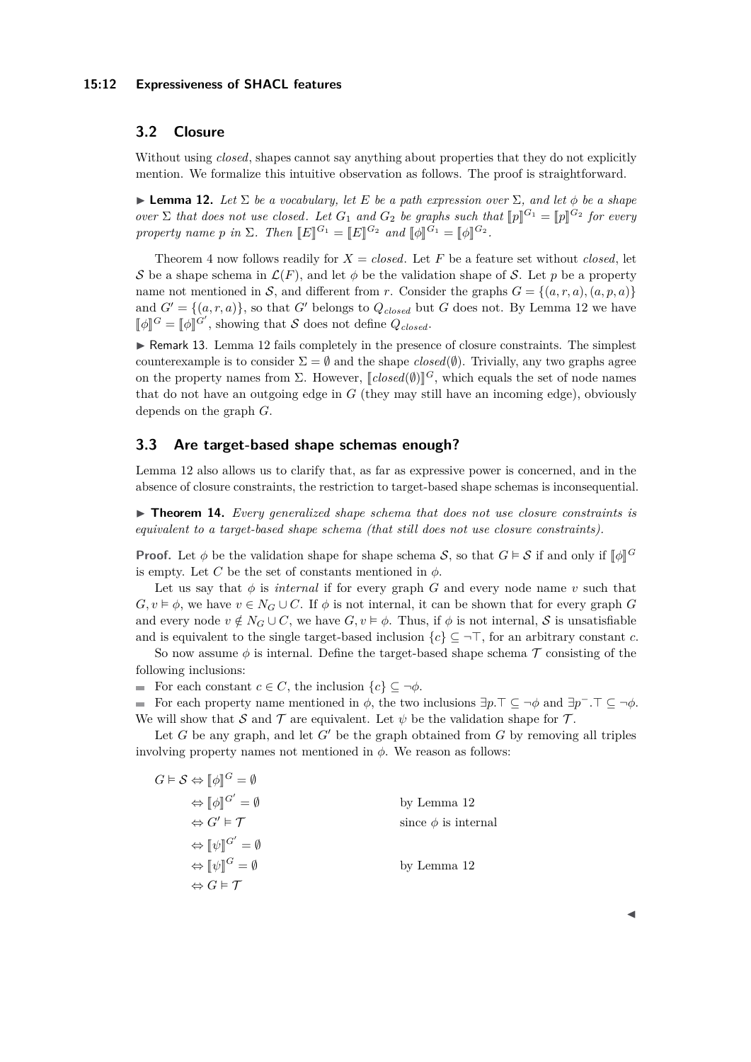#### **15:12 Expressiveness of SHACL features**

# **3.2 Closure**

Without using *closed*, shapes cannot say anything about properties that they do not explicitly mention. We formalize this intuitive observation as follows. The proof is straightforward.

<span id="page-11-0"></span>**I Lemma 12.** Let  $\Sigma$  be a vocabulary, let E be a path expression over  $\Sigma$ , and let  $\phi$  be a shape *over*  $\Sigma$  *that does not use closed. Let*  $G_1$  *and*  $G_2$  *be graphs such that*  $[\![p]\!]^{G_1} = [\![p]\!]^{G_2}$  *for every property name p in*  $\Sigma$ *. Then*  $[[E]]^{G_1} = [[E]]^{G_2}$  *and*  $[[\phi]]^{G_1} = [[\phi]]^{G_2}$ *.* 

Theorem [4](#page-6-2) now follows readily for  $X = closed$ . Let F be a feature set without *closed*, let S be a shape schema in  $\mathcal{L}(F)$ , and let  $\phi$  be the validation shape of S. Let p be a property name not mentioned in S, and different from r. Consider the graphs  $G = \{(a, r, a), (a, p, a)\}\$ and  $G' = \{(a, r, a)\}\$ , so that  $G'$  belongs to  $Q_{closed}$  but  $G$  does not. By Lemma [12](#page-11-0) we have  $[\![\phi]\!]^G = [\![\phi]\!]^G'$ , showing that S does not define  $Q_{closed}$ .

► Remark 13. Lemma [12](#page-11-0) fails completely in the presence of closure constraints. The simplest counterexample is to consider  $\Sigma = \emptyset$  and the shape  $closed(\emptyset)$ . Trivially, any two graphs agree on the property names from  $\Sigma$ . However,  $\llbracket closed(\emptyset) \rrbracket^G$ , which equals the set of node names<br>that do not have an autosing odge in  $G$  (that may still have an incoming odge), obviously that do not have an outgoing edge in *G* (they may still have an incoming edge), obviously depends on the graph *G*.

# **3.3 Are target-based shape schemas enough?**

Lemma [12](#page-11-0) also allows us to clarify that, as far as expressive power is concerned, and in the absence of closure constraints, the restriction to target-based shape schemas is inconsequential.

<span id="page-11-1"></span>**► Theorem 14.** Every generalized shape schema that does not use closure constraints is *equivalent to a target-based shape schema (that still does not use closure constraints).*

**Proof.** Let  $\phi$  be the validation shape for shape schema  $S$ , so that  $G \models S$  if and only if  $[\![\phi]\!]^G$ is empty. Let *C* be the set of constants mentioned in  $\phi$ .

Let us say that  $\phi$  is *internal* if for every graph *G* and every node name *v* such that  $G, v \models \phi$ , we have  $v \in N_G \cup C$ . If  $\phi$  is not internal, it can be shown that for every graph *G* and every node  $v \notin N_G \cup C$ , we have  $G, v \models \phi$ . Thus, if  $\phi$  is not internal, S is unsatisfiable and is equivalent to the single target-based inclusion  $\{c\} \subseteq \neg \top$ , for an arbitrary constant *c*.

So now assume  $\phi$  is internal. Define the target-based shape schema  $\mathcal T$  consisting of the following inclusions:

For each constant  $c \in C$ , the inclusion  $\{c\} \subseteq \neg \phi$ .

For each property name mentioned in  $\phi$ , the two inclusions  $\exists p.\top \subseteq \neg \phi$  and  $\exists p^-\cdot \top \subseteq \neg \phi$ . We will show that S and T are equivalent. Let  $\psi$  be the validation shape for T.

Let  $G$  be any graph, and let  $G'$  be the graph obtained from  $G$  by removing all triples involving property names not mentioned in  $\phi$ . We reason as follows:

| $G\vDash S \Leftrightarrow \llbracket \phi \rrbracket^G = \emptyset$ |                          |
|----------------------------------------------------------------------|--------------------------|
| $\Leftrightarrow \llbracket \phi \rrbracket^{G'} = \emptyset$        | by Lemma 12              |
| $\Leftrightarrow G' \models \mathcal{T}$                             | since $\phi$ is internal |
| $\Leftrightarrow \llbracket \psi \rrbracket^{G'} = \emptyset$        |                          |
| $\Leftrightarrow \llbracket \psi \rrbracket^G = \emptyset$           | by Lemma 12              |
| $\Leftrightarrow G \models \mathcal{T}$                              |                          |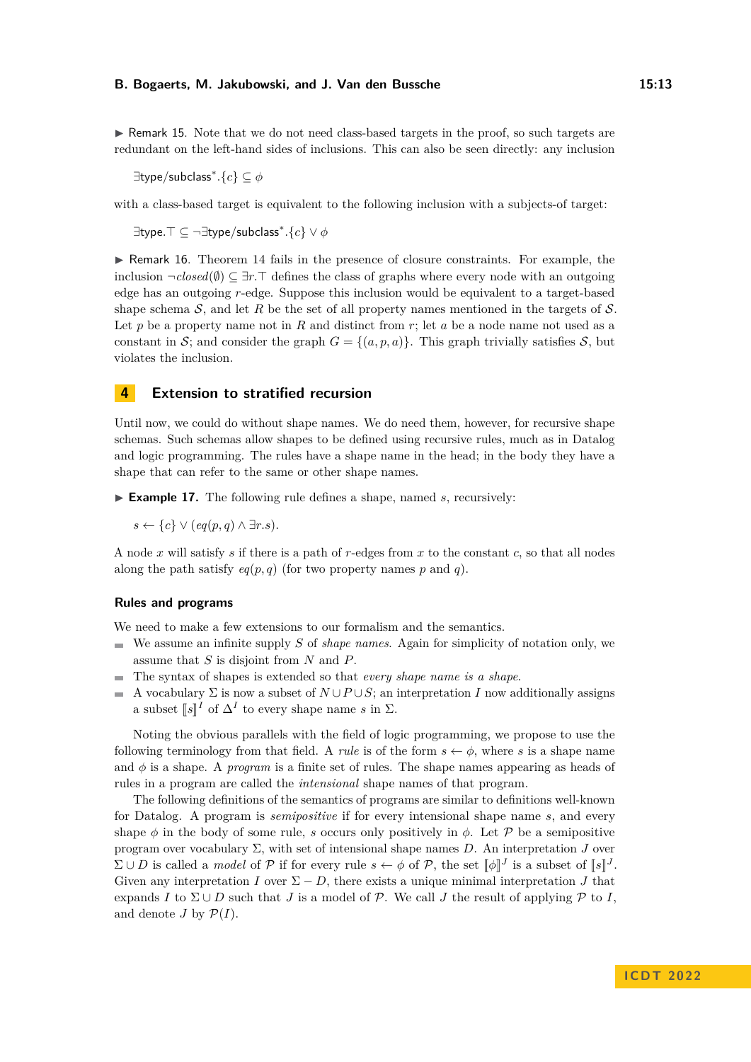$\triangleright$  Remark 15. Note that we do not need class-based targets in the proof, so such targets are redundant on the left-hand sides of inclusions. This can also be seen directly: any inclusion

∃type*/*subclass<sup>∗</sup> *.*{*c*} ⊆ *φ*

with a class-based target is equivalent to the following inclusion with a subjects-of target:

 $\exists$ type. $\top \subseteq \neg \exists$ type/subclass $^*.$ { $c$ }  $\lor \phi$ 

 $\triangleright$  Remark 16. Theorem [14](#page-11-1) fails in the presence of closure constraints. For example, the inclusion  $\neg closed(\emptyset) \subseteq \exists r.\top$  defines the class of graphs where every node with an outgoing edge has an outgoing *r*-edge. Suppose this inclusion would be equivalent to a target-based shape schema  $S$ , and let R be the set of all property names mentioned in the targets of  $S$ . Let *p* be a property name not in *R* and distinct from *r*; let *a* be a node name not used as a constant in S; and consider the graph  $G = \{(a, p, a)\}\$ . This graph trivially satisfies S, but violates the inclusion.

# <span id="page-12-0"></span>**4 Extension to stratified recursion**

Until now, we could do without shape names. We do need them, however, for recursive shape schemas. Such schemas allow shapes to be defined using recursive rules, much as in Datalog and logic programming. The rules have a shape name in the head; in the body they have a shape that can refer to the same or other shape names.

 $\blacktriangleright$  **Example 17.** The following rule defines a shape, named *s*, recursively:

*s* ←  ${c} \cup {c}$   $\cup$   ${eq(p,q) \land ∃r.s}.$ 

A node *x* will satisfy *s* if there is a path of *r*-edges from *x* to the constant *c*, so that all nodes along the path satisfy  $eq(p, q)$  (for two property names p and q).

## **Rules and programs**

We need to make a few extensions to our formalism and the semantics.

- We assume an infinite supply *S* of *shape names*. Again for simplicity of notation only, we assume that *S* is disjoint from *N* and *P*.
- The syntax of shapes is extended so that *every shape name is a shape*.  $\equiv$
- A vocabulary  $\Sigma$  is now a subset of  $N \cup P \cup S$ ; an interpretation *I* now additionally assigns a subset  $\llbracket s \rrbracket^I$  of  $\Delta^I$  to every shape name *s* in  $\Sigma$ .

Noting the obvious parallels with the field of logic programming, we propose to use the following terminology from that field. A *rule* is of the form  $s \leftarrow \phi$ , where *s* is a shape name and  $\phi$  is a shape. A *program* is a finite set of rules. The shape names appearing as heads of rules in a program are called the *intensional* shape names of that program.

The following definitions of the semantics of programs are similar to definitions well-known for Datalog. A program is *semipositive* if for every intensional shape name *s*, and every shape  $\phi$  in the body of some rule, *s* occurs only positively in  $\phi$ . Let P be a semipositive program over vocabulary Σ, with set of intensional shape names *D*. An interpretation *J* over  $\Sigma \cup D$  is called a *model* of P if for every rule  $s \leftarrow \phi$  of P, the set  $[\![\phi]\!]^J$  is a subset of  $[\![s]\!]^J$ . Given any interpretation *I* over  $\Sigma - D$ , there exists a unique minimal interpretation *J* that expands *I* to  $\Sigma \cup D$  such that *J* is a model of  $P$ . We call *J* the result of applying  $P$  to *I*, and denote *J* by  $P(I)$ .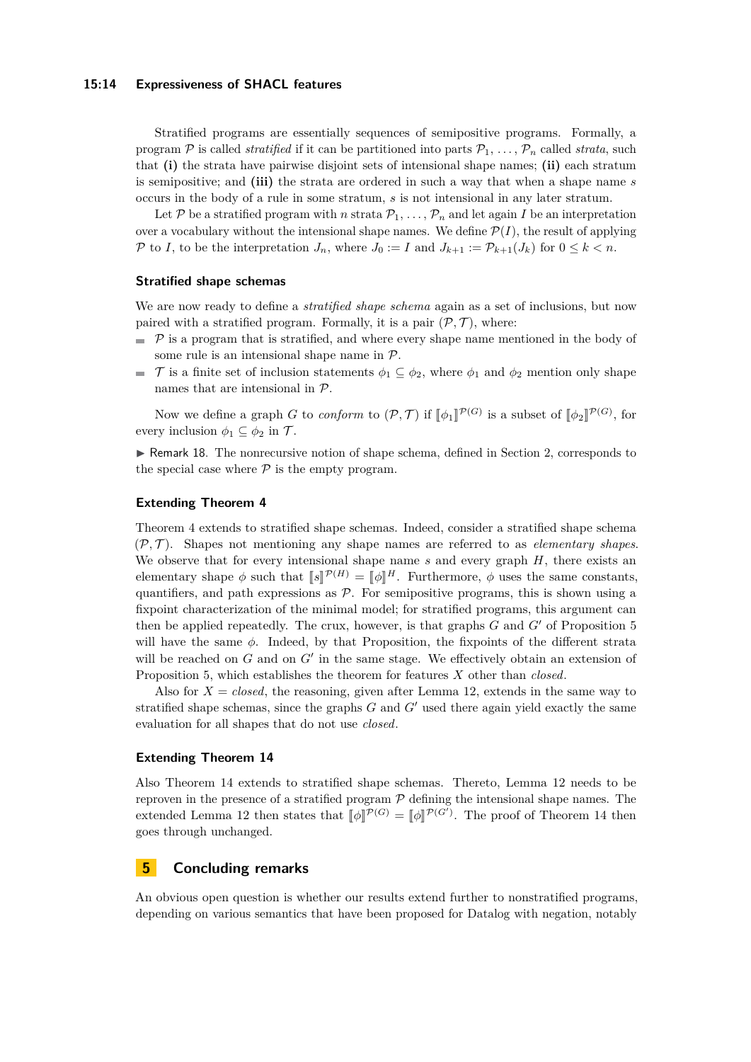#### **15:14 Expressiveness of SHACL features**

Stratified programs are essentially sequences of semipositive programs. Formally, a program P is called *stratified* if it can be partitioned into parts  $P_1, \ldots, P_n$  called *strata*, such that **(i)** the strata have pairwise disjoint sets of intensional shape names; **(ii)** each stratum is semipositive; and **(iii)** the strata are ordered in such a way that when a shape name *s* occurs in the body of a rule in some stratum, *s* is not intensional in any later stratum.

Let P be a stratified program with *n* strata  $P_1, \ldots, P_n$  and let again I be an interpretation over a vocabulary without the intensional shape names. We define  $\mathcal{P}(I)$ , the result of applying P to *I*, to be the interpretation  $J_n$ , where  $J_0 := I$  and  $J_{k+1} := \mathcal{P}_{k+1}(J_k)$  for  $0 \leq k < n$ .

#### **Stratified shape schemas**

We are now ready to define a *stratified shape schema* again as a set of inclusions, but now paired with a stratified program. Formally, it is a pair  $(\mathcal{P}, \mathcal{T})$ , where:

- $\mathcal P$  is a program that is stratified, and where every shape name mentioned in the body of some rule is an intensional shape name in  $P$ .
- $\mathcal{T}$  is a finite set of inclusion statements  $\phi_1 \subseteq \phi_2$ , where  $\phi_1$  and  $\phi_2$  mention only shape names that are intensional in P.

Now we define a graph *G* to *conform* to  $(\mathcal{P}, \mathcal{T})$  if  $[\![\phi_1]\!]^{\mathcal{P}(G)}$  is a subset of  $[\![\phi_2]\!]^{\mathcal{P}(G)}$ , for every inclusion  $\phi_1 \subseteq \phi_2$  in  $\mathcal{T}$ .

 $\triangleright$  Remark 18. The nonrecursive notion of shape schema, defined in Section [2,](#page-3-0) corresponds to the special case where  $P$  is the empty program.

## **Extending Theorem [4](#page-6-2)**

Theorem [4](#page-6-2) extends to stratified shape schemas. Indeed, consider a stratified shape schema  $(\mathcal{P}, \mathcal{T})$ . Shapes not mentioning any shape names are referred to as *elementary shapes*. We observe that for every intensional shape name *s* and every graph *H*, there exists an elementary shape  $\phi$  such that  $[s]^{\mathcal{P}(H)} = [\![\phi]\!]^H$ . Furthermore,  $\phi$  uses the same constants, quantifiers, and path expressions as  $P$ . For semipositive programs, this is shown using a fixpoint characterization of the minimal model; for stratified programs, this argument can then be applied repeatedly. The crux, however, is that graphs  $G$  and  $G'$  of Proposition [5](#page-6-3) will have the same  $\phi$ . Indeed, by that Proposition, the fixpoints of the different strata will be reached on  $G$  and on  $G'$  in the same stage. We effectively obtain an extension of Proposition [5,](#page-6-3) which establishes the theorem for features *X* other than *closed*.

Also for  $X = closed$ , the reasoning, given after Lemma [12,](#page-11-0) extends in the same way to stratified shape schemas, since the graphs  $G$  and  $G'$  used there again yield exactly the same evaluation for all shapes that do not use *closed*.

## **Extending Theorem [14](#page-11-1)**

Also Theorem [14](#page-11-1) extends to stratified shape schemas. Thereto, Lemma [12](#page-11-0) needs to be reproven in the presence of a stratified program  $P$  defining the intensional shape names. The extended Lemma [12](#page-11-0) then states that  $[\![\phi]\!]^{\mathcal{P}(G)} = [\![\phi]\!]^{\mathcal{P}(G')}$ . The proof of Theorem [14](#page-11-1) then goes through unchanged.

# <span id="page-13-0"></span>**5 Concluding remarks**

An obvious open question is whether our results extend further to nonstratified programs, depending on various semantics that have been proposed for Datalog with negation, notably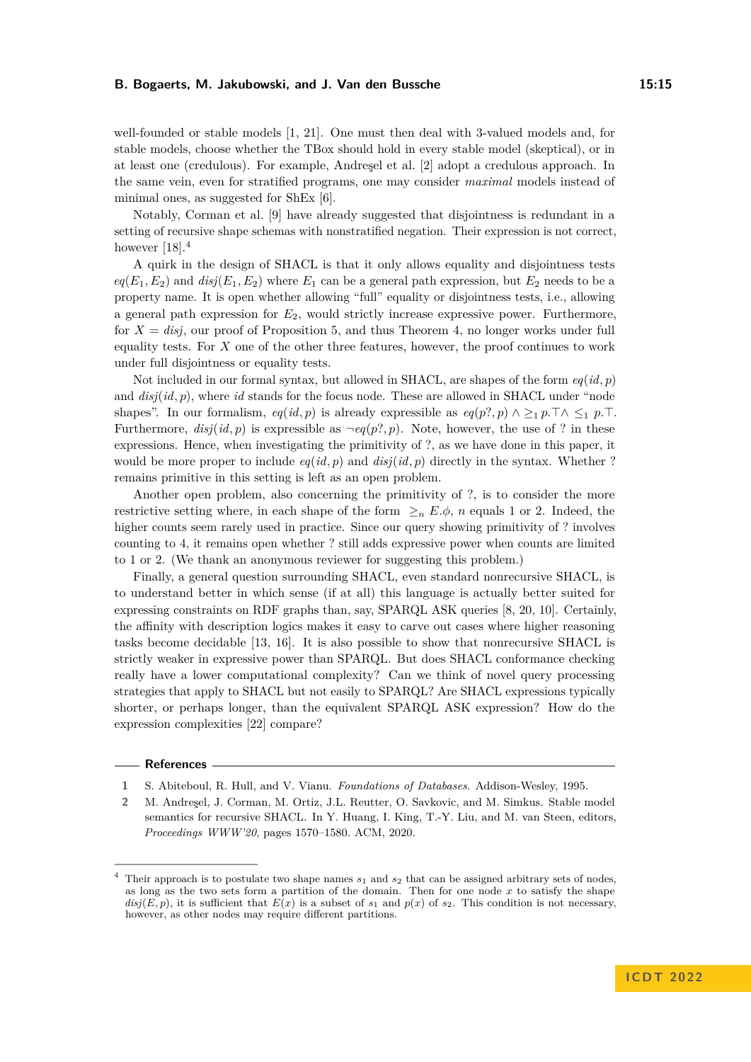well-founded or stable models [\[1,](#page-14-1) [21\]](#page-15-13). One must then deal with 3-valued models and, for stable models, choose whether the TBox should hold in every stable model (skeptical), or in at least one (credulous). For example, Andreşel et al. [\[2\]](#page-14-0) adopt a credulous approach. In the same vein, even for stratified programs, one may consider *maximal* models instead of minimal ones, as suggested for ShEx [\[6\]](#page-15-1).

Notably, Corman et al. [\[9\]](#page-15-3) have already suggested that disjointness is redundant in a setting of recursive shape schemas with nonstratified negation. Their expression is not correct, however  $[18]$ <sup>[4](#page-14-2)</sup>

A quirk in the design of SHACL is that it only allows equality and disjointness tests  $eq(E_1, E_2)$  and  $disj(E_1, E_2)$  where  $E_1$  can be a general path expression, but  $E_2$  needs to be a property name. It is open whether allowing "full" equality or disjointness tests, i.e., allowing a general path expression for *E*2, would strictly increase expressive power. Furthermore, for  $X = disj$ , our proof of Proposition [5,](#page-6-3) and thus Theorem [4,](#page-6-2) no longer works under full equality tests. For *X* one of the other three features, however, the proof continues to work under full disjointness or equality tests.

Not included in our formal syntax, but allowed in SHACL, are shapes of the form *eq*(*id, p*) and *disj*(*id, p*), where *id* stands for the focus node. These are allowed in SHACL under "node shapes". In our formalism,  $eq(id, p)$  is already expressible as  $eq(p?, p) \wedge \geq_1 p.\top \wedge \leq_1 p.\top$ . Furthermore,  $disj(id, p)$  is expressible as  $\neg eq(p?, p)$ . Note, however, the use of ? in these expressions. Hence, when investigating the primitivity of ?, as we have done in this paper, it would be more proper to include  $eq(id, p)$  and  $disj(id, p)$  directly in the syntax. Whether ? remains primitive in this setting is left as an open problem.

Another open problem, also concerning the primitivity of ?, is to consider the more restrictive setting where, in each shape of the form  $\geq_n E.\phi$ , *n* equals 1 or 2. Indeed, the higher counts seem rarely used in practice. Since our query showing primitivity of ? involves counting to 4, it remains open whether ? still adds expressive power when counts are limited to 1 or 2. (We thank an anonymous reviewer for suggesting this problem.)

Finally, a general question surrounding SHACL, even standard nonrecursive SHACL, is to understand better in which sense (if at all) this language is actually better suited for expressing constraints on RDF graphs than, say, SPARQL ASK queries [\[8,](#page-15-15) [20,](#page-15-16) [10\]](#page-15-17). Certainly, the affinity with description logics makes it easy to carve out cases where higher reasoning tasks become decidable [\[13,](#page-15-4) [16\]](#page-15-5). It is also possible to show that nonrecursive SHACL is strictly weaker in expressive power than SPARQL. But does SHACL conformance checking really have a lower computational complexity? Can we think of novel query processing strategies that apply to SHACL but not easily to SPARQL? Are SHACL expressions typically shorter, or perhaps longer, than the equivalent SPARQL ASK expression? How do the expression complexities [\[22\]](#page-15-18) compare?

## **References**

<span id="page-14-1"></span>**1** S. Abiteboul, R. Hull, and V. Vianu. *Foundations of Databases*. Addison-Wesley, 1995.

<span id="page-14-0"></span>**2** M. Andreşel, J. Corman, M. Ortiz, J.L. Reutter, O. Savkovic, and M. Simkus. Stable model semantics for recursive SHACL. In Y. Huang, I. King, T.-Y. Liu, and M. van Steen, editors, *Proceedings WWW'20*, pages 1570–1580. ACM, 2020.

<span id="page-14-2"></span><sup>&</sup>lt;sup>4</sup> Their approach is to postulate two shape names  $s_1$  and  $s_2$  that can be assigned arbitrary sets of nodes, as long as the two sets form a partition of the domain. Then for one node *x* to satisfy the shape  $disj(E, p)$ , it is sufficient that  $E(x)$  is a subset of  $s_1$  and  $p(x)$  of  $s_2$ . This condition is not necessary, however, as other nodes may require different partitions.